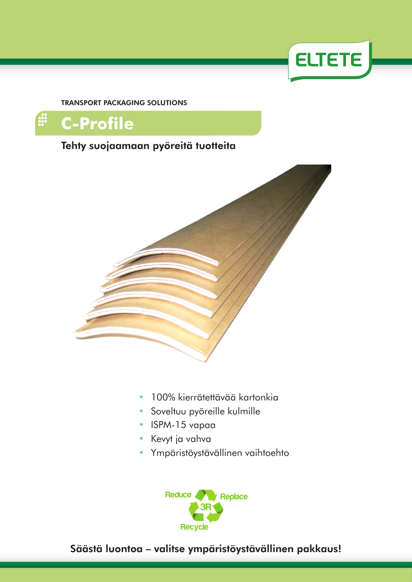## TRANSPORT PACKAGING SOLUTIONS



## Tehty suojaamaan pyöreitä tuotteita



**ELTETE** 

- 100% kierrätettävää kartonkia
- Soveltuu pyöreille kulmille
- ISPM-15 vapaa
- Kevyt ja vahva
- Ympäristöystävällinen vaihtoehto



Säästä luontoa – valitse ympäristöystävällinen pakkaus!